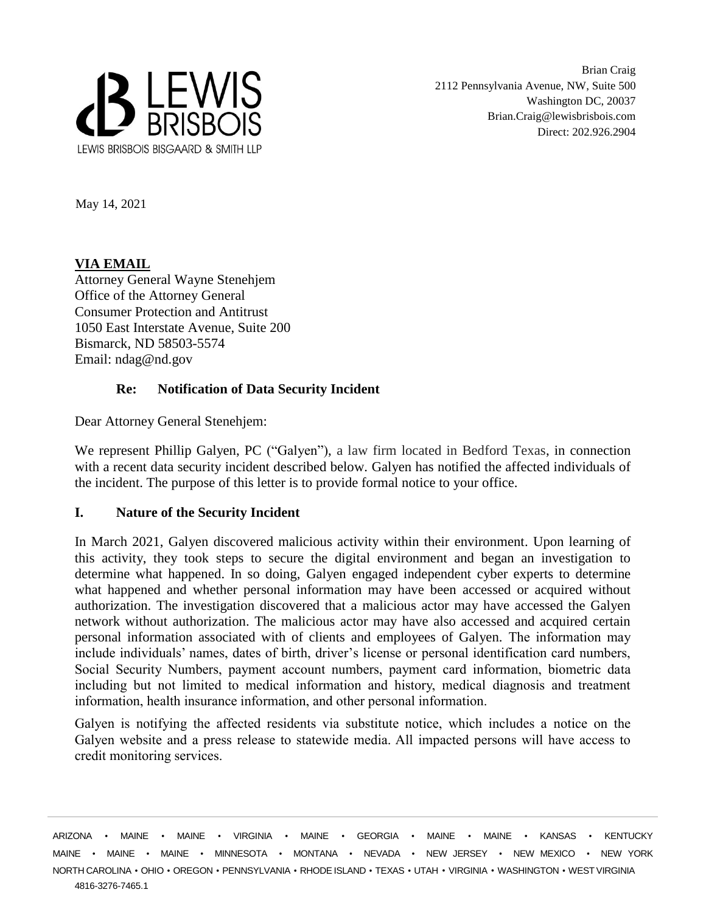

Brian Craig 2112 Pennsylvania Avenue, NW, Suite 500 Washington DC, 20037 Brian.Craig@lewisbrisbois.com Direct: 202.926.2904

May 14, 2021

## **VIA EMAIL**

Attorney General Wayne Stenehjem Office of the Attorney General Consumer Protection and Antitrust 1050 East Interstate Avenue, Suite 200 Bismarck, ND 58503-5574 Email: ndag@nd.gov

## **Re: Notification of Data Security Incident**

Dear Attorney General Stenehjem:

We represent Phillip Galyen, PC ("Galyen"), a law firm located in Bedford Texas, in connection with a recent data security incident described below. Galyen has notified the affected individuals of the incident. The purpose of this letter is to provide formal notice to your office.

## **I. Nature of the Security Incident**

In March 2021, Galyen discovered malicious activity within their environment. Upon learning of this activity, they took steps to secure the digital environment and began an investigation to determine what happened. In so doing, Galyen engaged independent cyber experts to determine what happened and whether personal information may have been accessed or acquired without authorization. The investigation discovered that a malicious actor may have accessed the Galyen network without authorization. The malicious actor may have also accessed and acquired certain personal information associated with of clients and employees of Galyen. The information may include individuals' names, dates of birth, driver's license or personal identification card numbers, Social Security Numbers, payment account numbers, payment card information, biometric data including but not limited to medical information and history, medical diagnosis and treatment information, health insurance information, and other personal information.

Galyen is notifying the affected residents via substitute notice, which includes a notice on the Galyen website and a press release to statewide media. All impacted persons will have access to credit monitoring services.

4816-3276-7465.1 ARIZONA • MAINE • MAINE • VIRGINIA • MAINE • GEORGIA • MAINE • MAINE • KANSAS • KENTUCKY MAINE • MAINE • MAINE • MINNESOTA • MONTANA • NEVADA • NEW JERSEY • NEW MEXICO • NEW YORK NORTH CAROLINA • OHIO • OREGON • PENNSYLVANIA • RHODE ISLAND • TEXAS • UTAH • VIRGINIA • WASHINGTON • WESTVIRGINIA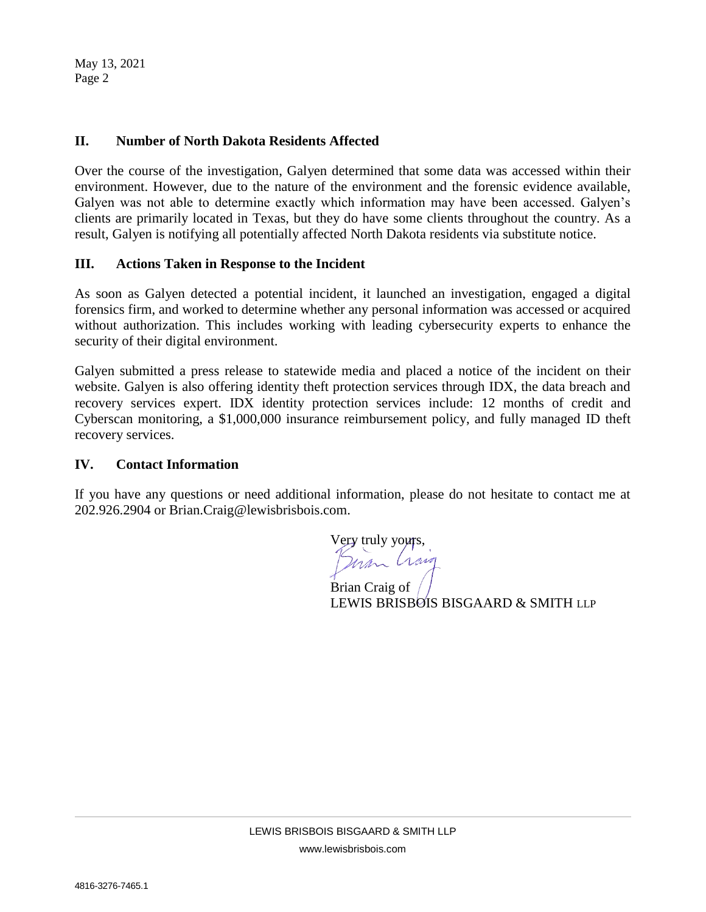May 13, 2021 Page 2

### **II. Number of North Dakota Residents Affected**

Over the course of the investigation, Galyen determined that some data was accessed within their environment. However, due to the nature of the environment and the forensic evidence available, Galyen was not able to determine exactly which information may have been accessed. Galyen's clients are primarily located in Texas, but they do have some clients throughout the country. As a result, Galyen is notifying all potentially affected North Dakota residents via substitute notice.

### **III. Actions Taken in Response to the Incident**

As soon as Galyen detected a potential incident, it launched an investigation, engaged a digital forensics firm, and worked to determine whether any personal information was accessed or acquired without authorization. This includes working with leading cybersecurity experts to enhance the security of their digital environment.

Galyen submitted a press release to statewide media and placed a notice of the incident on their website. Galyen is also offering identity theft protection services through IDX, the data breach and recovery services expert. IDX identity protection services include: 12 months of credit and Cyberscan monitoring, a \$1,000,000 insurance reimbursement policy, and fully managed ID theft recovery services.

#### **IV. Contact Information**

If you have any questions or need additional information, please do not hesitate to contact me at 202.926.2904 or Brian.Craig@lewisbrisbois.com.

Very truly yours,<br>Person Crain

Brian Craig of LEWIS BRISBOIS BISGAARD & SMITH LLP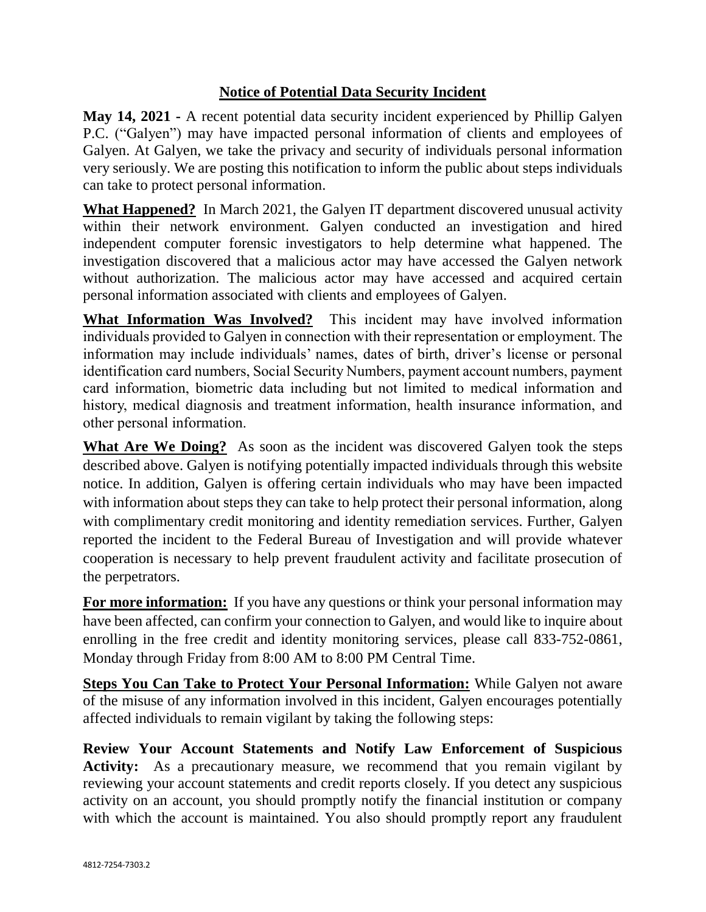# **Notice of Potential Data Security Incident**

**May 14, 2021 -** A recent potential data security incident experienced by Phillip Galyen P.C. ("Galyen") may have impacted personal information of clients and employees of Galyen. At Galyen, we take the privacy and security of individuals personal information very seriously. We are posting this notification to inform the public about steps individuals can take to protect personal information.

**What Happened?** In March 2021, the Galyen IT department discovered unusual activity within their network environment. Galyen conducted an investigation and hired independent computer forensic investigators to help determine what happened. The investigation discovered that a malicious actor may have accessed the Galyen network without authorization. The malicious actor may have accessed and acquired certain personal information associated with clients and employees of Galyen.

**What Information Was Involved?** This incident may have involved information individuals provided to Galyen in connection with their representation or employment. The information may include individuals' names, dates of birth, driver's license or personal identification card numbers, Social Security Numbers, payment account numbers, payment card information, biometric data including but not limited to medical information and history, medical diagnosis and treatment information, health insurance information, and other personal information.

**What Are We Doing?** As soon as the incident was discovered Galyen took the steps described above. Galyen is notifying potentially impacted individuals through this website notice. In addition, Galyen is offering certain individuals who may have been impacted with information about steps they can take to help protect their personal information, along with complimentary credit monitoring and identity remediation services. Further, Galyen reported the incident to the Federal Bureau of Investigation and will provide whatever cooperation is necessary to help prevent fraudulent activity and facilitate prosecution of the perpetrators.

**For more information:** If you have any questions or think your personal information may have been affected, can confirm your connection to Galyen, and would like to inquire about enrolling in the free credit and identity monitoring services, please call 833-752-0861, Monday through Friday from 8:00 AM to 8:00 PM Central Time.

**Steps You Can Take to Protect Your Personal Information:** While Galyen not aware of the misuse of any information involved in this incident, Galyen encourages potentially affected individuals to remain vigilant by taking the following steps:

**Review Your Account Statements and Notify Law Enforcement of Suspicious Activity:** As a precautionary measure, we recommend that you remain vigilant by reviewing your account statements and credit reports closely. If you detect any suspicious activity on an account, you should promptly notify the financial institution or company with which the account is maintained. You also should promptly report any fraudulent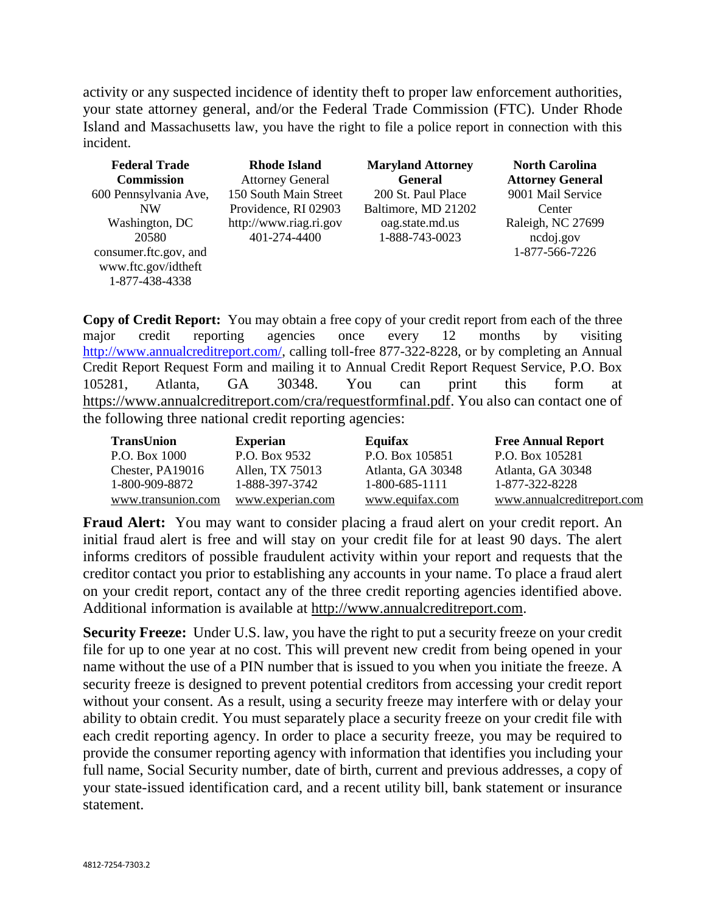activity or any suspected incidence of identity theft to proper law enforcement authorities, your state attorney general, and/or the Federal Trade Commission (FTC). Under Rhode Island and Massachusetts law, you have the right to file a police report in connection with this incident.

| <b>Federal Trade</b><br><b>Commission</b>                      | <b>Rhode Island</b><br><b>Attorney General</b> | <b>Maryland Attorney</b><br><b>General</b> | <b>North Carolina</b><br><b>Attorney General</b> |
|----------------------------------------------------------------|------------------------------------------------|--------------------------------------------|--------------------------------------------------|
| 600 Pennsylvania Ave,                                          | 150 South Main Street                          | 200 St. Paul Place                         | 9001 Mail Service                                |
| <b>NW</b>                                                      | Providence, RI 02903                           | Baltimore, MD 21202                        | Center                                           |
| Washington, DC                                                 | http://www.riag.ri.gov                         | oag.state.md.us                            | Raleigh, NC 27699                                |
| 20580                                                          | 401-274-4400                                   | 1-888-743-0023                             | ncdoj.gov                                        |
| consumer.ftc.gov, and<br>www.ftc.gov/idtheft<br>1-877-438-4338 |                                                |                                            | 1-877-566-7226                                   |

**Copy of Credit Report:** You may obtain a free copy of your credit report from each of the three major credit reporting agencies once every 12 months by visiting [http://www.annualcreditreport.com/,](http://www.annualcreditreport.com/) calling toll-free 877-322-8228, or by completing an Annual Credit Report Request Form and mailing it to Annual Credit Report Request Service, P.O. Box 105281, Atlanta, GA 30348. You can print this form at [https://www.annualcreditreport.com/cra/requestformfinal.pdf.](https://www.annualcreditreport.com/cra/requestformfinal.pdf) You also can contact one of the following three national credit reporting agencies:

| <b>TransUnion</b>  | <b>Experian</b>  | Equifax           | <b>Free Annual Report</b>  |
|--------------------|------------------|-------------------|----------------------------|
| P.O. Box 1000      | P.O. Box 9532    | P.O. Box 105851   | P.O. Box 105281            |
| Chester, PA19016   | Allen, TX 75013  | Atlanta, GA 30348 | Atlanta, GA 30348          |
| 1-800-909-8872     | 1-888-397-3742   | 1-800-685-1111    | 1-877-322-8228             |
| www.transunion.com | www.experian.com | www.equifax.com   | www.annualcreditreport.com |

**Fraud Alert:** You may want to consider placing a fraud alert on your credit report. An initial fraud alert is free and will stay on your credit file for at least 90 days. The alert informs creditors of possible fraudulent activity within your report and requests that the creditor contact you prior to establishing any accounts in your name. To place a fraud alert on your credit report, contact any of the three credit reporting agencies identified above. Additional information is available at [http://www.annualcreditreport.com.](http://www.annualcreditreport.com/)

**Security Freeze:** Under U.S. law, you have the right to put a security freeze on your credit file for up to one year at no cost. This will prevent new credit from being opened in your name without the use of a PIN number that is issued to you when you initiate the freeze. A security freeze is designed to prevent potential creditors from accessing your credit report without your consent. As a result, using a security freeze may interfere with or delay your ability to obtain credit. You must separately place a security freeze on your credit file with each credit reporting agency. In order to place a security freeze, you may be required to provide the consumer reporting agency with information that identifies you including your full name, Social Security number, date of birth, current and previous addresses, a copy of your state-issued identification card, and a recent utility bill, bank statement or insurance statement.